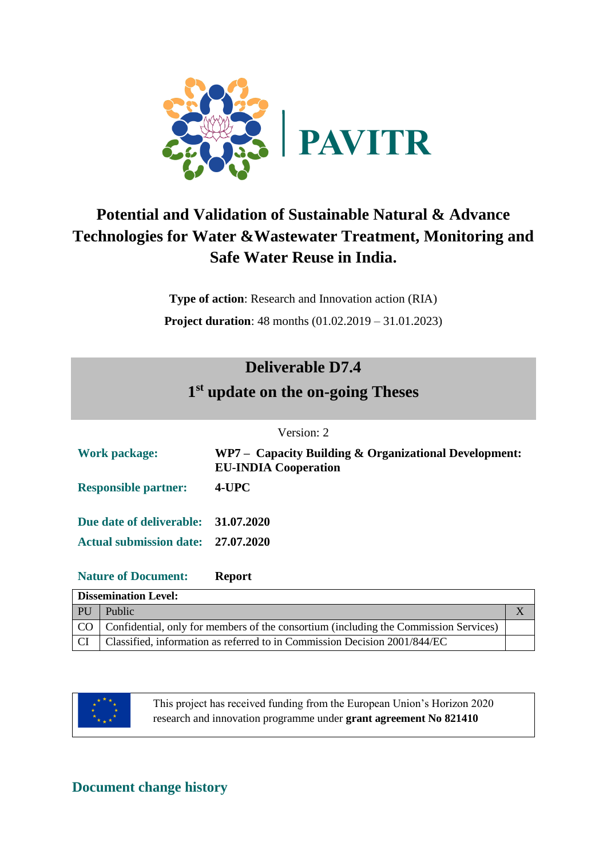

# **Potential and Validation of Sustainable Natural & Advance Technologies for Water &Wastewater Treatment, Monitoring and Safe Water Reuse in India.**

**Type of action**: Research and Innovation action (RIA) **Project duration**: 48 months (01.02.2019 – 31.01.2023)

# **Deliverable D7.4**

# **1 st update on the on-going Theses**

#### Version: 2

| <b>Work package:</b>               |                                     | WP7 – Capacity Building & Organizational Development:<br><b>EU-INDIA Cooperation</b> |   |  |
|------------------------------------|-------------------------------------|--------------------------------------------------------------------------------------|---|--|
| <b>Responsible partner:</b>        |                                     | $4$ -UPC                                                                             |   |  |
|                                    | Due date of deliverable: 31.07.2020 |                                                                                      |   |  |
| Actual submission date: 27.07.2020 |                                     |                                                                                      |   |  |
| <b>Nature of Document:</b>         |                                     | <b>Report</b>                                                                        |   |  |
| <b>Dissemination Level:</b>        |                                     |                                                                                      |   |  |
| <b>PU</b>                          | Public                              |                                                                                      | X |  |

| PU | Public                                                                                  |  |
|----|-----------------------------------------------------------------------------------------|--|
|    | CO Confidential, only for members of the consortium (including the Commission Services) |  |
|    | Classified, information as referred to in Commission Decision 2001/844/EC               |  |



This project has received funding from the European Union's Horizon 2020 research and innovation programme under **grant agreement No 821410**

### **Document change history**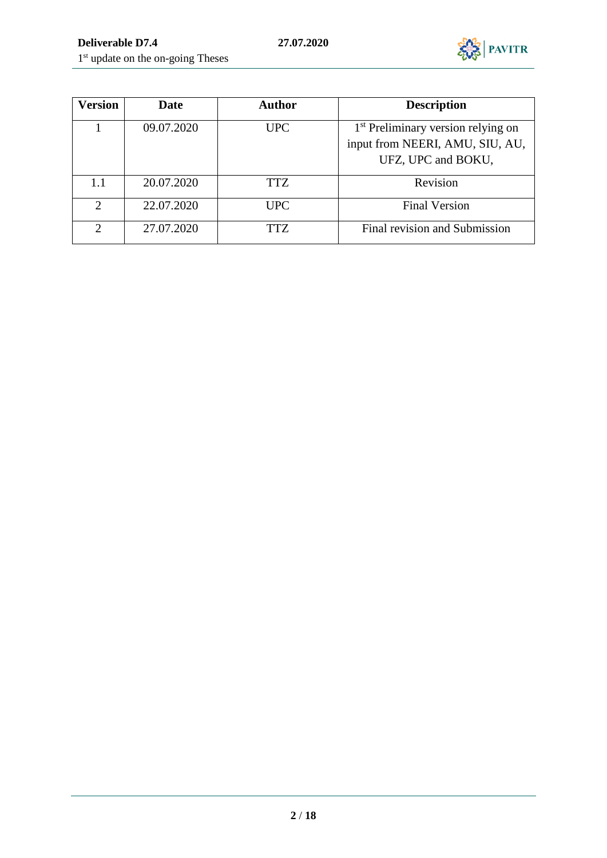

| Version                     | <b>Date</b> | <b>Author</b> | <b>Description</b>                             |
|-----------------------------|-------------|---------------|------------------------------------------------|
|                             | 09.07.2020  | <b>UPC</b>    | 1 <sup>st</sup> Preliminary version relying on |
|                             |             |               | input from NEERI, AMU, SIU, AU,                |
|                             |             |               | UFZ, UPC and BOKU,                             |
| 1.1                         | 20.07.2020  | TTZ.          | Revision                                       |
| $\mathcal{D}_{\mathcal{L}}$ | 22.07.2020  | <b>UPC</b>    | <b>Final Version</b>                           |
| $\mathcal{D}_{\mathcal{L}}$ | 27.07.2020  | TTZ           | Final revision and Submission                  |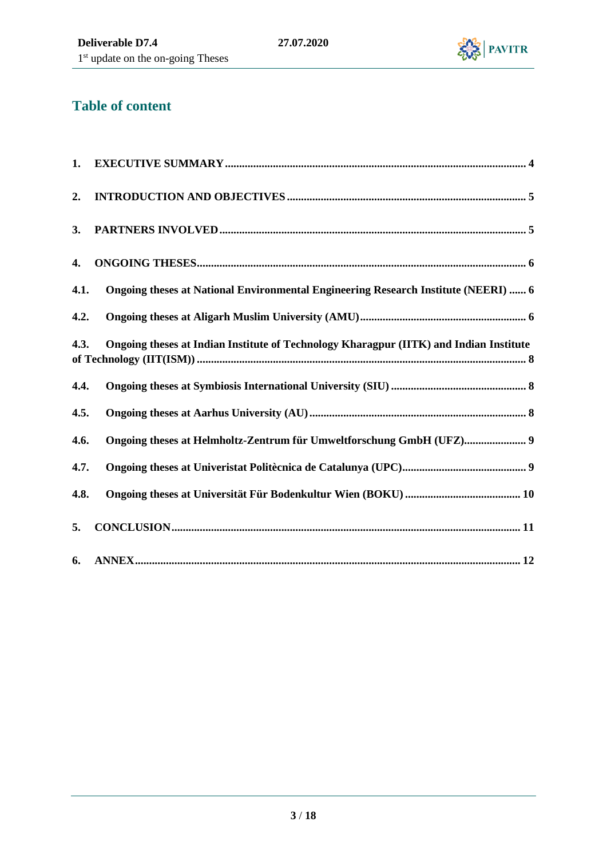

# **Table of content**

| 1.   |                                                                                        |  |
|------|----------------------------------------------------------------------------------------|--|
| 2.   |                                                                                        |  |
| 3.   |                                                                                        |  |
| 4.   |                                                                                        |  |
| 4.1. | Ongoing theses at National Environmental Engineering Research Institute (NEERI)  6     |  |
| 4.2. |                                                                                        |  |
| 4.3. | Ongoing theses at Indian Institute of Technology Kharagpur (IITK) and Indian Institute |  |
| 4.4. |                                                                                        |  |
| 4.5. |                                                                                        |  |
| 4.6. | Ongoing theses at Helmholtz-Zentrum für Umweltforschung GmbH (UFZ) 9                   |  |
| 4.7. |                                                                                        |  |
| 4.8. |                                                                                        |  |
| 5.   |                                                                                        |  |
| 6.   |                                                                                        |  |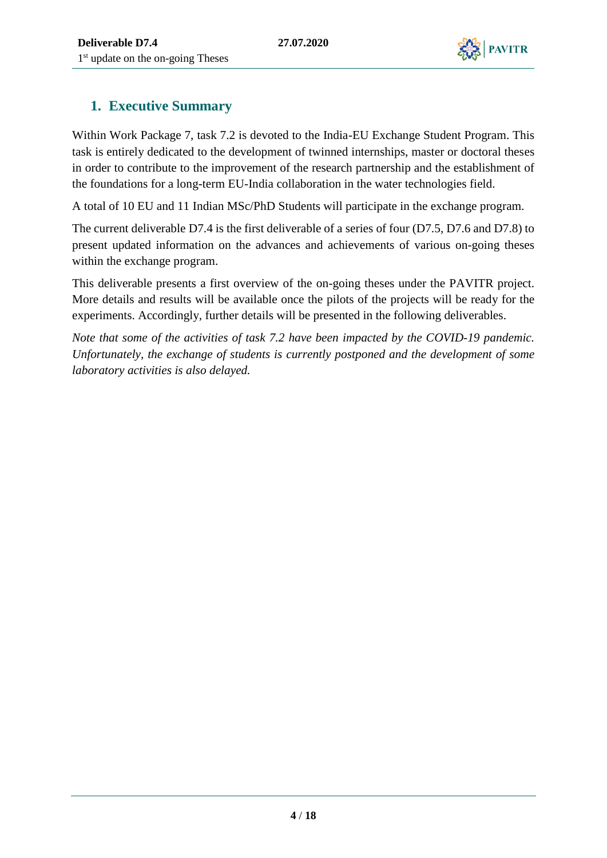

## <span id="page-3-0"></span>**1. Executive Summary**

Within Work Package 7, task 7.2 is devoted to the India-EU Exchange Student Program. This task is entirely dedicated to the development of twinned internships, master or doctoral theses in order to contribute to the improvement of the research partnership and the establishment of the foundations for a long-term EU-India collaboration in the water technologies field.

A total of 10 EU and 11 Indian MSc/PhD Students will participate in the exchange program.

The current deliverable D7.4 is the first deliverable of a series of four (D7.5, D7.6 and D7.8) to present updated information on the advances and achievements of various on-going theses within the exchange program.

This deliverable presents a first overview of the on-going theses under the PAVITR project. More details and results will be available once the pilots of the projects will be ready for the experiments. Accordingly, further details will be presented in the following deliverables.

*Note that some of the activities of task 7.2 have been impacted by the COVID-19 pandemic. Unfortunately, the exchange of students is currently postponed and the development of some laboratory activities is also delayed.*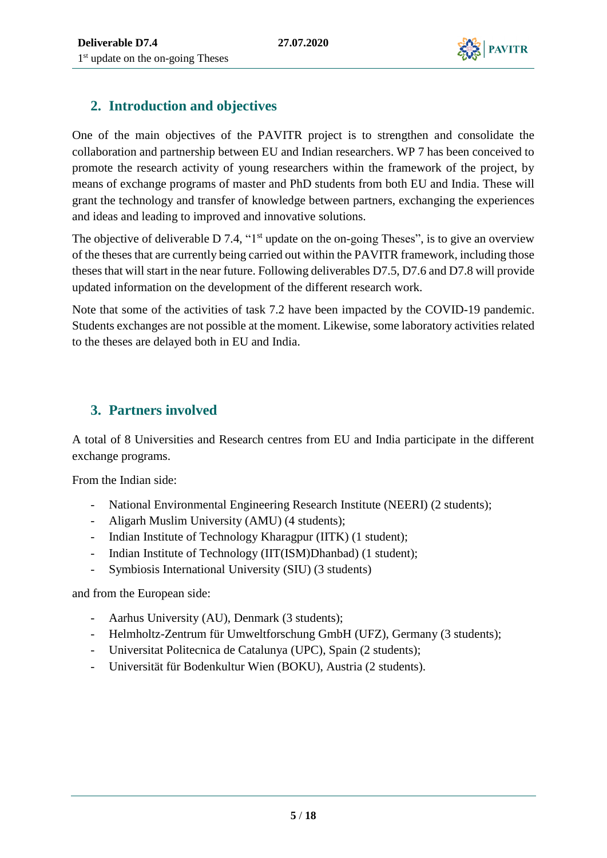

## <span id="page-4-0"></span>**2. Introduction and objectives**

One of the main objectives of the PAVITR project is to strengthen and consolidate the collaboration and partnership between EU and Indian researchers. WP 7 has been conceived to promote the research activity of young researchers within the framework of the project, by means of exchange programs of master and PhD students from both EU and India. These will grant the technology and transfer of knowledge between partners, exchanging the experiences and ideas and leading to improved and innovative solutions.

The objective of deliverable  $D$  7.4, "1<sup>st</sup> update on the on-going Theses", is to give an overview of the theses that are currently being carried out within the PAVITR framework, including those theses that will start in the near future. Following deliverables D7.5, D7.6 and D7.8 will provide updated information on the development of the different research work.

Note that some of the activities of task 7.2 have been impacted by the COVID-19 pandemic. Students exchanges are not possible at the moment. Likewise, some laboratory activities related to the theses are delayed both in EU and India.

## <span id="page-4-1"></span>**3. Partners involved**

A total of 8 Universities and Research centres from EU and India participate in the different exchange programs.

From the Indian side:

- National Environmental Engineering Research Institute (NEERI) (2 students);
- Aligarh Muslim University (AMU) (4 students);
- Indian Institute of Technology Kharagpur (IITK) (1 student);
- Indian Institute of Technology (IIT(ISM)Dhanbad) (1 student);
- Symbiosis International University (SIU) (3 students)

and from the European side:

- Aarhus University (AU), Denmark (3 students);
- Helmholtz-Zentrum für Umweltforschung GmbH (UFZ), Germany (3 students);
- Universitat Politecnica de Catalunya (UPC), Spain (2 students);
- Universität für Bodenkultur Wien (BOKU), Austria (2 students).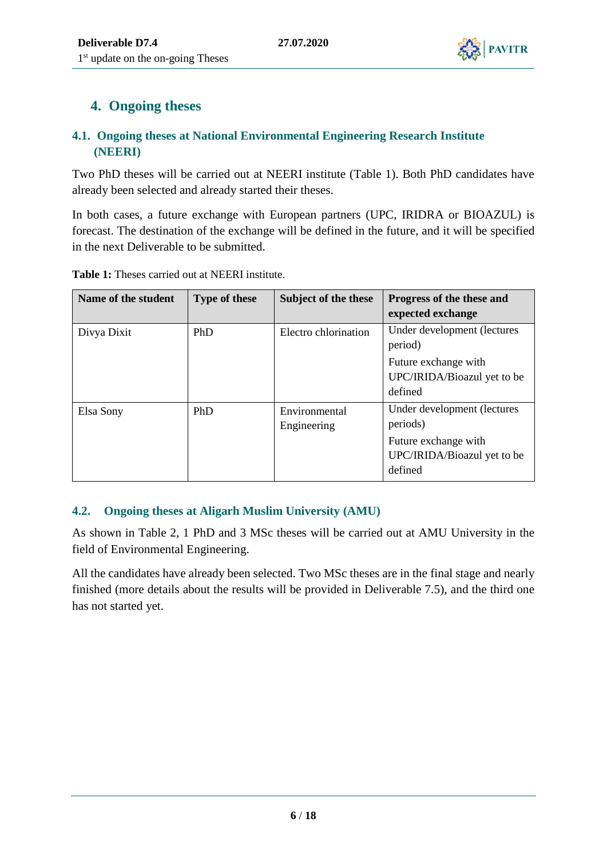

# <span id="page-5-0"></span>**4. Ongoing theses**

#### <span id="page-5-1"></span>**4.1. Ongoing theses at National Environmental Engineering Research Institute (NEERI)**

Two PhD theses will be carried out at NEERI institute (Table 1). Both PhD candidates have already been selected and already started their theses.

In both cases, a future exchange with European partners (UPC, IRIDRA or BIOAZUL) is forecast. The destination of the exchange will be defined in the future, and it will be specified in the next Deliverable to be submitted.

| Name of the student | <b>Type of these</b> | Subject of the these         | Progress of the these and<br>expected exchange                                                            |
|---------------------|----------------------|------------------------------|-----------------------------------------------------------------------------------------------------------|
| Divya Dixit         | PhD                  | Electro chlorination         | Under development (lectures<br>period)                                                                    |
|                     |                      |                              | Future exchange with<br>UPC/IRIDA/Bioazul yet to be<br>defined                                            |
| Elsa Sony           | <b>PhD</b>           | Environmental<br>Engineering | Under development (lectures<br>periods)<br>Future exchange with<br>UPC/IRIDA/Bioazul yet to be<br>defined |

**Table 1:** Theses carried out at NEERI institute.

### <span id="page-5-2"></span>**4.2. Ongoing theses at Aligarh Muslim University (AMU)**

As shown in Table 2, 1 PhD and 3 MSc theses will be carried out at AMU University in the field of Environmental Engineering.

All the candidates have already been selected. Two MSc theses are in the final stage and nearly finished (more details about the results will be provided in Deliverable 7.5), and the third one has not started yet.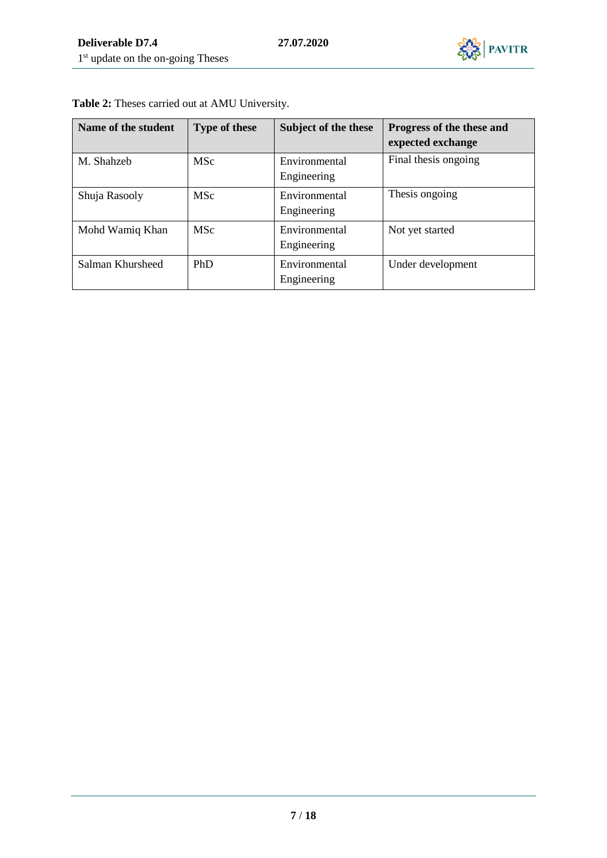

| Name of the student | <b>Type of these</b> | Subject of the these         | Progress of the these and<br>expected exchange |
|---------------------|----------------------|------------------------------|------------------------------------------------|
| M. Shahzeb          | <b>MSc</b>           | Environmental<br>Engineering | Final thesis ongoing                           |
| Shuja Rasooly       | <b>MSc</b>           | Environmental<br>Engineering | Thesis ongoing                                 |
| Mohd Wamiq Khan     | <b>MSc</b>           | Environmental<br>Engineering | Not yet started                                |
| Salman Khursheed    | PhD                  | Environmental<br>Engineering | Under development                              |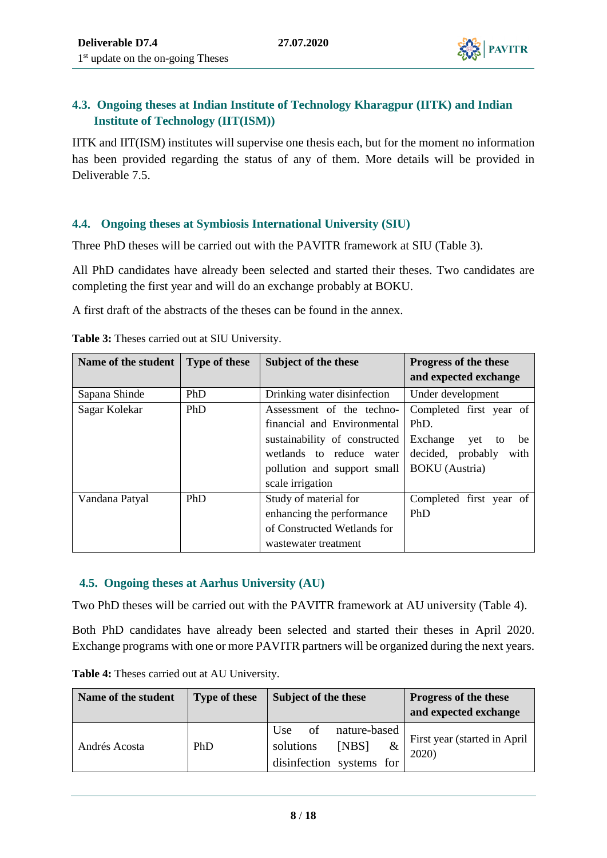

#### <span id="page-7-0"></span>**4.3. Ongoing theses at Indian Institute of Technology Kharagpur (IITK) and Indian Institute of Technology (IIT(ISM))**

IITK and IIT(ISM) institutes will supervise one thesis each, but for the moment no information has been provided regarding the status of any of them. More details will be provided in Deliverable 7.5.

#### <span id="page-7-1"></span>**4.4. Ongoing theses at Symbiosis International University (SIU)**

Three PhD theses will be carried out with the PAVITR framework at SIU (Table 3).

All PhD candidates have already been selected and started their theses. Two candidates are completing the first year and will do an exchange probably at BOKU.

A first draft of the abstracts of the theses can be found in the annex.

| Name of the student | <b>Type of these</b> | Subject of the these          | <b>Progress of the these</b><br>and expected exchange |
|---------------------|----------------------|-------------------------------|-------------------------------------------------------|
| Sapana Shinde       | PhD                  | Drinking water disinfection   | Under development                                     |
| Sagar Kolekar       | PhD                  | Assessment of the techno-     | Completed first year of                               |
|                     |                      | financial and Environmental   | PhD.                                                  |
|                     |                      | sustainability of constructed | Exchange<br>be<br>yet<br>to                           |
|                     |                      | wetlands to reduce water      | decided, probably<br>with                             |
|                     |                      | pollution and support small   | <b>BOKU</b> (Austria)                                 |
|                     |                      | scale irrigation              |                                                       |
| Vandana Patyal      | PhD                  | Study of material for         | Completed first year of                               |
|                     |                      | enhancing the performance     | PhD                                                   |
|                     |                      | of Constructed Wetlands for   |                                                       |
|                     |                      | wastewater treatment          |                                                       |

**Table 3:** Theses carried out at SIU University.

#### <span id="page-7-2"></span>**4.5. Ongoing theses at Aarhus University (AU)**

Two PhD theses will be carried out with the PAVITR framework at AU university (Table 4).

Both PhD candidates have already been selected and started their theses in April 2020. Exchange programs with one or more PAVITR partners will be organized during the next years.

| Name of the student | <b>Type of these</b> | Subject of the these                                                             | Progress of the these<br>and expected exchange |
|---------------------|----------------------|----------------------------------------------------------------------------------|------------------------------------------------|
| Andrés Acosta       | PhD                  | of<br>nature-based<br>Use<br>[NBS]<br>solutions<br>&<br>disinfection systems for | First year (started in April)<br>2020          |

**Table 4:** Theses carried out at AU University.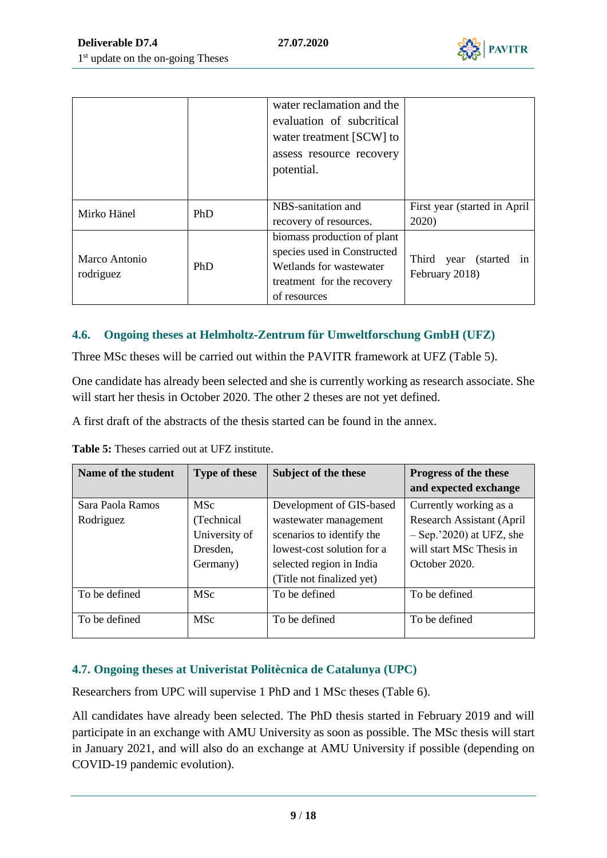

|                            |            | water reclamation and the<br>evaluation of subcritical<br>water treatment [SCW] to<br>assess resource recovery<br>potential.        |                                                |
|----------------------------|------------|-------------------------------------------------------------------------------------------------------------------------------------|------------------------------------------------|
| Mirko Hänel                | <b>PhD</b> | NBS-sanitation and<br>recovery of resources.                                                                                        | First year (started in April)<br>2020)         |
| Marco Antonio<br>rodriguez | PhD        | biomass production of plant<br>species used in Constructed<br>Wetlands for wastewater<br>treatment for the recovery<br>of resources | Third<br>year (started<br>1n<br>February 2018) |

#### <span id="page-8-0"></span>**4.6. Ongoing theses at Helmholtz-Zentrum für Umweltforschung GmbH (UFZ)**

Three MSc theses will be carried out within the PAVITR framework at UFZ (Table 5).

One candidate has already been selected and she is currently working as research associate. She will start her thesis in October 2020. The other 2 theses are not yet defined.

A first draft of the abstracts of the thesis started can be found in the annex.

**Table 5:** Theses carried out at UFZ institute.

| Name of the student           | <b>Type of these</b>      | Subject of the these                                    | Progress of the these<br>and expected exchange             |
|-------------------------------|---------------------------|---------------------------------------------------------|------------------------------------------------------------|
| Sara Paola Ramos<br>Rodriguez | <b>MSc</b><br>(Technical  | Development of GIS-based<br>wastewater management       | Currently working as a<br><b>Research Assistant (April</b> |
|                               | University of<br>Dresden, | scenarios to identify the<br>lowest-cost solution for a | $-$ Sep.'2020) at UFZ, she<br>will start MSc Thesis in     |
|                               | Germany)                  | selected region in India<br>(Title not finalized yet)   | October 2020.                                              |
| To be defined                 | <b>MSc</b>                | To be defined                                           | To be defined                                              |
| To be defined                 | <b>MSc</b>                | To be defined                                           | To be defined                                              |

#### <span id="page-8-1"></span>**4.7. Ongoing theses at Univeristat Politècnica de Catalunya (UPC)**

Researchers from UPC will supervise 1 PhD and 1 MSc theses (Table 6).

All candidates have already been selected. The PhD thesis started in February 2019 and will participate in an exchange with AMU University as soon as possible. The MSc thesis will start in January 2021, and will also do an exchange at AMU University if possible (depending on COVID-19 pandemic evolution).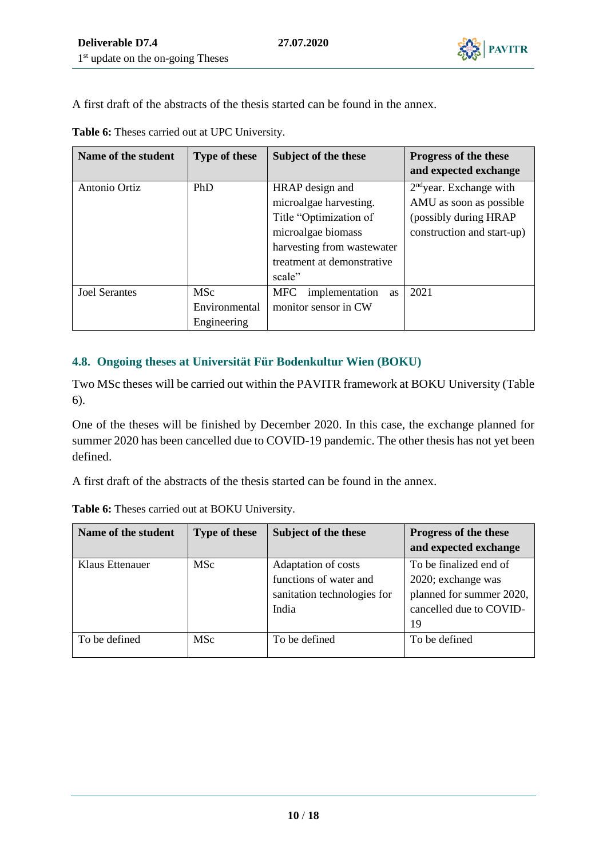

A first draft of the abstracts of the thesis started can be found in the annex.

| Name of the student  | <b>Type of these</b> | Subject of the these               | Progress of the these      |
|----------------------|----------------------|------------------------------------|----------------------------|
|                      |                      |                                    | and expected exchange      |
| Antonio Ortiz        | PhD                  | HRAP design and                    | $2nd$ year. Exchange with  |
|                      |                      | microalgae harvesting.             | AMU as soon as possible    |
|                      |                      | Title "Optimization of             | (possibly during HRAP)     |
|                      |                      | microalgae biomass                 | construction and start-up) |
|                      |                      | harvesting from wastewater         |                            |
|                      |                      | treatment at demonstrative         |                            |
|                      |                      | scale"                             |                            |
| <b>Joel Serantes</b> | <b>MSc</b>           | <b>MFC</b><br>implementation<br>as | 2021                       |
|                      | Environmental        | monitor sensor in CW               |                            |
|                      | Engineering          |                                    |                            |

**Table 6:** Theses carried out at UPC University.

#### <span id="page-9-0"></span>**4.8. Ongoing theses at Universität Für Bodenkultur Wien (BOKU)**

Two MSc theses will be carried out within the PAVITR framework at BOKU University (Table 6).

One of the theses will be finished by December 2020. In this case, the exchange planned for summer 2020 has been cancelled due to COVID-19 pandemic. The other thesis has not yet been defined.

A first draft of the abstracts of the thesis started can be found in the annex.

| Name of the student | <b>Type of these</b> | Subject of the these                          | Progress of the these<br>and expected exchange            |
|---------------------|----------------------|-----------------------------------------------|-----------------------------------------------------------|
| Klaus Ettenauer     | <b>MSc</b>           | Adaptation of costs<br>functions of water and | To be finalized end of<br>2020; exchange was              |
|                     |                      | sanitation technologies for<br>India          | planned for summer 2020,<br>cancelled due to COVID-<br>19 |
| To be defined       | <b>MSc</b>           | To be defined                                 | To be defined                                             |

**Table 6:** Theses carried out at BOKU University.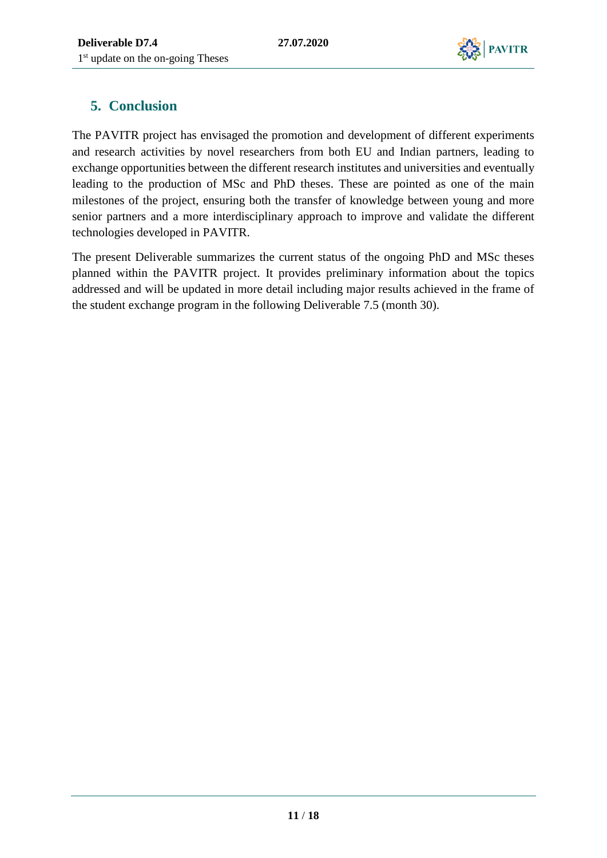

# <span id="page-10-0"></span>**5. Conclusion**

The PAVITR project has envisaged the promotion and development of different experiments and research activities by novel researchers from both EU and Indian partners, leading to exchange opportunities between the different research institutes and universities and eventually leading to the production of MSc and PhD theses. These are pointed as one of the main milestones of the project, ensuring both the transfer of knowledge between young and more senior partners and a more interdisciplinary approach to improve and validate the different technologies developed in PAVITR.

The present Deliverable summarizes the current status of the ongoing PhD and MSc theses planned within the PAVITR project. It provides preliminary information about the topics addressed and will be updated in more detail including major results achieved in the frame of the student exchange program in the following Deliverable 7.5 (month 30).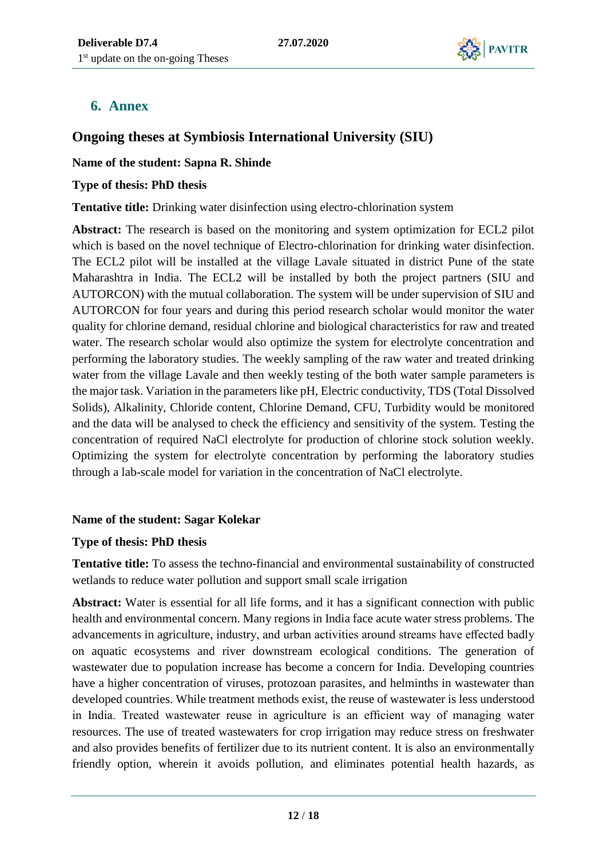

### <span id="page-11-0"></span>**6. Annex**

### **Ongoing theses at Symbiosis International University (SIU)**

#### **Name of the student: Sapna R. Shinde**

#### **Type of thesis: PhD thesis**

#### **Tentative title:** Drinking water disinfection using electro-chlorination system

**Abstract:** The research is based on the monitoring and system optimization for ECL2 pilot which is based on the novel technique of Electro-chlorination for drinking water disinfection. The ECL2 pilot will be installed at the village Lavale situated in district Pune of the state Maharashtra in India. The ECL2 will be installed by both the project partners (SIU and AUTORCON) with the mutual collaboration. The system will be under supervision of SIU and AUTORCON for four years and during this period research scholar would monitor the water quality for chlorine demand, residual chlorine and biological characteristics for raw and treated water. The research scholar would also optimize the system for electrolyte concentration and performing the laboratory studies. The weekly sampling of the raw water and treated drinking water from the village Lavale and then weekly testing of the both water sample parameters is the major task. Variation in the parameters like pH, Electric conductivity, TDS (Total Dissolved Solids), Alkalinity, Chloride content, Chlorine Demand, CFU, Turbidity would be monitored and the data will be analysed to check the efficiency and sensitivity of the system. Testing the concentration of required NaCl electrolyte for production of chlorine stock solution weekly. Optimizing the system for electrolyte concentration by performing the laboratory studies through a lab-scale model for variation in the concentration of NaCl electrolyte.

#### **Name of the student: Sagar Kolekar**

#### **Type of thesis: PhD thesis**

**Tentative title:** To assess the techno-financial and environmental sustainability of constructed wetlands to reduce water pollution and support small scale irrigation

**Abstract:** Water is essential for all life forms, and it has a significant connection with public health and environmental concern. Many regions in India face acute water stress problems. The advancements in agriculture, industry, and urban activities around streams have effected badly on aquatic ecosystems and river downstream ecological conditions. The generation of wastewater due to population increase has become a concern for India. Developing countries have a higher concentration of viruses, protozoan parasites, and helminths in wastewater than developed countries. While treatment methods exist, the reuse of wastewater is less understood in India. Treated wastewater reuse in agriculture is an efficient way of managing water resources. The use of treated wastewaters for crop irrigation may reduce stress on freshwater and also provides benefits of fertilizer due to its nutrient content. It is also an environmentally friendly option, wherein it avoids pollution, and eliminates potential health hazards, as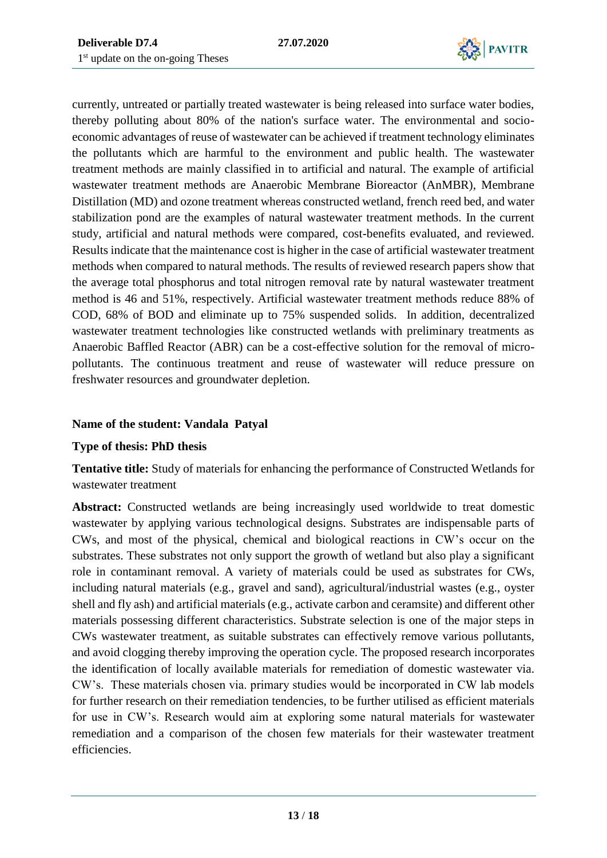

currently, untreated or partially treated wastewater is being released into surface water bodies, thereby polluting about 80% of the nation's surface water. The environmental and socioeconomic advantages of reuse of wastewater can be achieved if treatment technology eliminates the pollutants which are harmful to the environment and public health. The wastewater treatment methods are mainly classified in to artificial and natural. The example of artificial wastewater treatment methods are Anaerobic Membrane Bioreactor (AnMBR), Membrane Distillation (MD) and ozone treatment whereas constructed wetland, french reed bed, and water stabilization pond are the examples of natural wastewater treatment methods. In the current study, artificial and natural methods were compared, cost-benefits evaluated, and reviewed. Results indicate that the maintenance cost is higher in the case of artificial wastewater treatment methods when compared to natural methods. The results of reviewed research papers show that the average total phosphorus and total nitrogen removal rate by natural wastewater treatment method is 46 and 51%, respectively. Artificial wastewater treatment methods reduce 88% of COD, 68% of BOD and eliminate up to 75% suspended solids. In addition, decentralized wastewater treatment technologies like constructed wetlands with preliminary treatments as Anaerobic Baffled Reactor (ABR) can be a cost-effective solution for the removal of micropollutants. The continuous treatment and reuse of wastewater will reduce pressure on freshwater resources and groundwater depletion.

#### **Name of the student: Vandala Patyal**

#### **Type of thesis: PhD thesis**

**Tentative title:** Study of materials for enhancing the performance of Constructed Wetlands for wastewater treatment

**Abstract:** Constructed wetlands are being increasingly used worldwide to treat domestic wastewater by applying various technological designs. Substrates are indispensable parts of CWs, and most of the physical, chemical and biological reactions in CW's occur on the substrates. These substrates not only support the growth of wetland but also play a significant role in contaminant removal. A variety of materials could be used as substrates for CWs, including natural materials (e.g., gravel and sand), agricultural/industrial wastes (e.g., oyster shell and fly ash) and artificial materials (e.g., activate carbon and ceramsite) and different other materials possessing different characteristics. Substrate selection is one of the major steps in CWs wastewater treatment, as suitable substrates can effectively remove various pollutants, and avoid clogging thereby improving the operation cycle. The proposed research incorporates the identification of locally available materials for remediation of domestic wastewater via. CW's. These materials chosen via. primary studies would be incorporated in CW lab models for further research on their remediation tendencies, to be further utilised as efficient materials for use in CW's. Research would aim at exploring some natural materials for wastewater remediation and a comparison of the chosen few materials for their wastewater treatment efficiencies.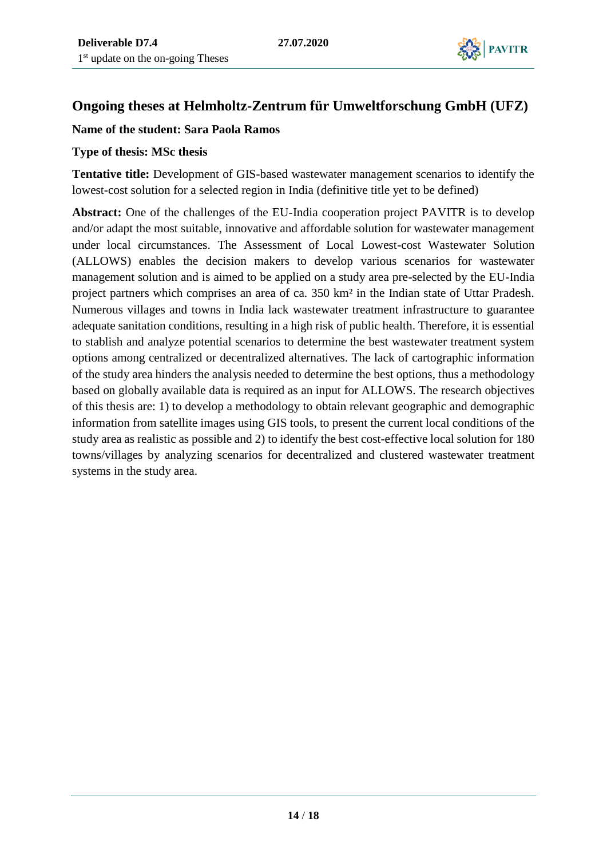

### **Ongoing theses at Helmholtz-Zentrum für Umweltforschung GmbH (UFZ)**

#### **Name of the student: Sara Paola Ramos**

#### **Type of thesis: MSc thesis**

**Tentative title:** Development of GIS-based wastewater management scenarios to identify the lowest-cost solution for a selected region in India (definitive title yet to be defined)

**Abstract:** One of the challenges of the EU-India cooperation project PAVITR is to develop and/or adapt the most suitable, innovative and affordable solution for wastewater management under local circumstances. The Assessment of Local Lowest-cost Wastewater Solution (ALLOWS) enables the decision makers to develop various scenarios for wastewater management solution and is aimed to be applied on a study area pre-selected by the EU-India project partners which comprises an area of ca. 350 km² in the Indian state of Uttar Pradesh. Numerous villages and towns in India lack wastewater treatment infrastructure to guarantee adequate sanitation conditions, resulting in a high risk of public health. Therefore, it is essential to stablish and analyze potential scenarios to determine the best wastewater treatment system options among centralized or decentralized alternatives. The lack of cartographic information of the study area hinders the analysis needed to determine the best options, thus a methodology based on globally available data is required as an input for ALLOWS. The research objectives of this thesis are: 1) to develop a methodology to obtain relevant geographic and demographic information from satellite images using GIS tools, to present the current local conditions of the study area as realistic as possible and 2) to identify the best cost-effective local solution for 180 towns/villages by analyzing scenarios for decentralized and clustered wastewater treatment systems in the study area.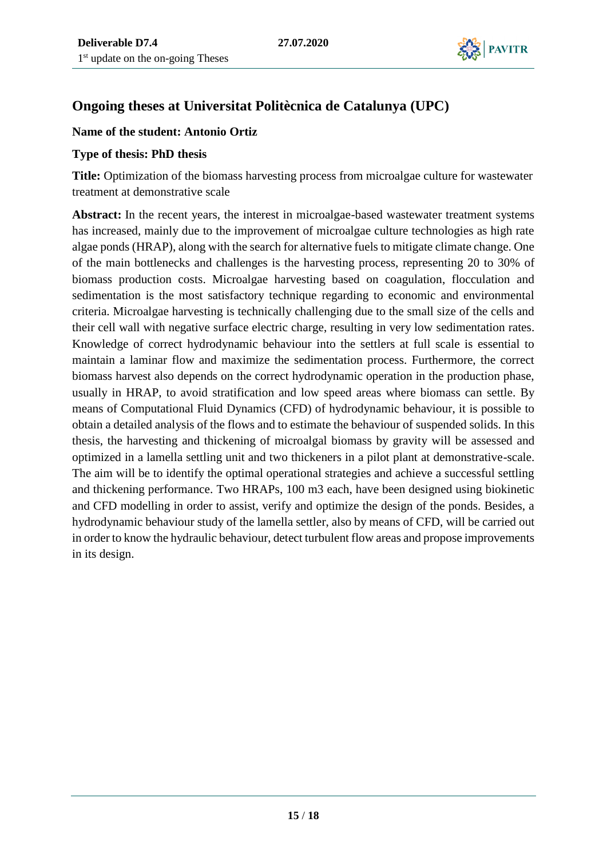

## **Ongoing theses at Universitat Politècnica de Catalunya (UPC)**

#### **Name of the student: Antonio Ortiz**

#### **Type of thesis: PhD thesis**

**Title:** Optimization of the biomass harvesting process from microalgae culture for wastewater treatment at demonstrative scale

**Abstract:** In the recent years, the interest in microalgae-based wastewater treatment systems has increased, mainly due to the improvement of microalgae culture technologies as high rate algae ponds (HRAP), along with the search for alternative fuels to mitigate climate change. One of the main bottlenecks and challenges is the harvesting process, representing 20 to 30% of biomass production costs. Microalgae harvesting based on coagulation, flocculation and sedimentation is the most satisfactory technique regarding to economic and environmental criteria. Microalgae harvesting is technically challenging due to the small size of the cells and their cell wall with negative surface electric charge, resulting in very low sedimentation rates. Knowledge of correct hydrodynamic behaviour into the settlers at full scale is essential to maintain a laminar flow and maximize the sedimentation process. Furthermore, the correct biomass harvest also depends on the correct hydrodynamic operation in the production phase, usually in HRAP, to avoid stratification and low speed areas where biomass can settle. By means of Computational Fluid Dynamics (CFD) of hydrodynamic behaviour, it is possible to obtain a detailed analysis of the flows and to estimate the behaviour of suspended solids. In this thesis, the harvesting and thickening of microalgal biomass by gravity will be assessed and optimized in a lamella settling unit and two thickeners in a pilot plant at demonstrative-scale. The aim will be to identify the optimal operational strategies and achieve a successful settling and thickening performance. Two HRAPs, 100 m3 each, have been designed using biokinetic and CFD modelling in order to assist, verify and optimize the design of the ponds. Besides, a hydrodynamic behaviour study of the lamella settler, also by means of CFD, will be carried out in order to know the hydraulic behaviour, detect turbulent flow areas and propose improvements in its design.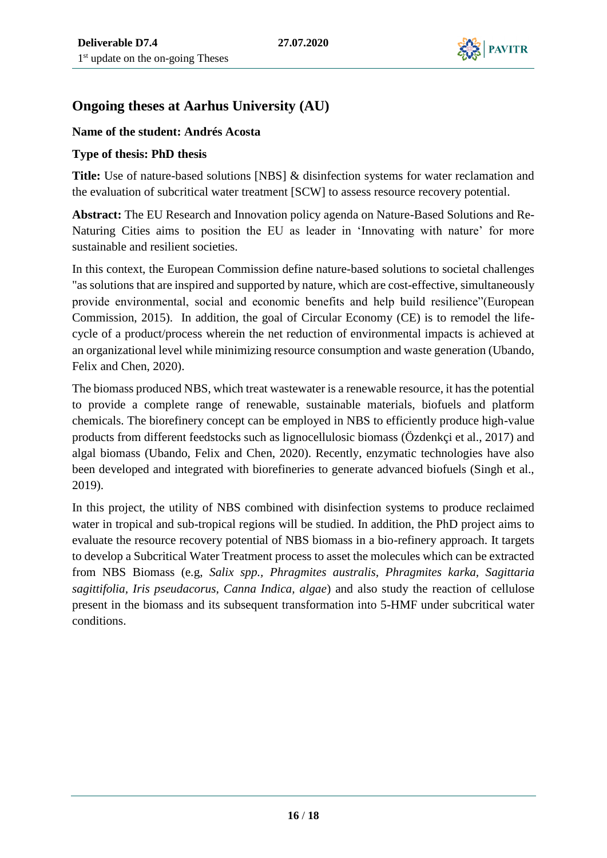

## **Ongoing theses at Aarhus University (AU)**

#### **Name of the student: Andrés Acosta**

#### **Type of thesis: PhD thesis**

**Title:** Use of nature-based solutions [NBS] & disinfection systems for water reclamation and the evaluation of subcritical water treatment [SCW] to assess resource recovery potential.

**Abstract:** The EU Research and Innovation policy agenda on Nature-Based Solutions and Re-Naturing Cities aims to position the EU as leader in 'Innovating with nature' for more sustainable and resilient societies.

In this context, the European Commission define nature-based solutions to societal challenges "as solutions that are inspired and supported by nature, which are cost-effective, simultaneously provide environmental, social and economic benefits and help build resilience"(European Commission, 2015). In addition, the goal of Circular Economy (CE) is to remodel the lifecycle of a product/process wherein the net reduction of environmental impacts is achieved at an organizational level while minimizing resource consumption and waste generation (Ubando, Felix and Chen, 2020).

The biomass produced NBS, which treat wastewater is a renewable resource, it has the potential to provide a complete range of renewable, sustainable materials, biofuels and platform chemicals. The biorefinery concept can be employed in NBS to efficiently produce high-value products from different feedstocks such as lignocellulosic biomass (Özdenkçi et al., 2017) and algal biomass (Ubando, Felix and Chen, 2020). Recently, enzymatic technologies have also been developed and integrated with biorefineries to generate advanced biofuels (Singh et al., 2019).

In this project, the utility of NBS combined with disinfection systems to produce reclaimed water in tropical and sub-tropical regions will be studied. In addition, the PhD project aims to evaluate the resource recovery potential of NBS biomass in a bio-refinery approach. It targets to develop a Subcritical Water Treatment process to asset the molecules which can be extracted from NBS Biomass (e.g, *Salix spp., Phragmites australis, Phragmites karka, Sagittaria sagittifolia, Iris pseudacorus, Canna Indica, algae*) and also study the reaction of cellulose present in the biomass and its subsequent transformation into 5-HMF under subcritical water conditions.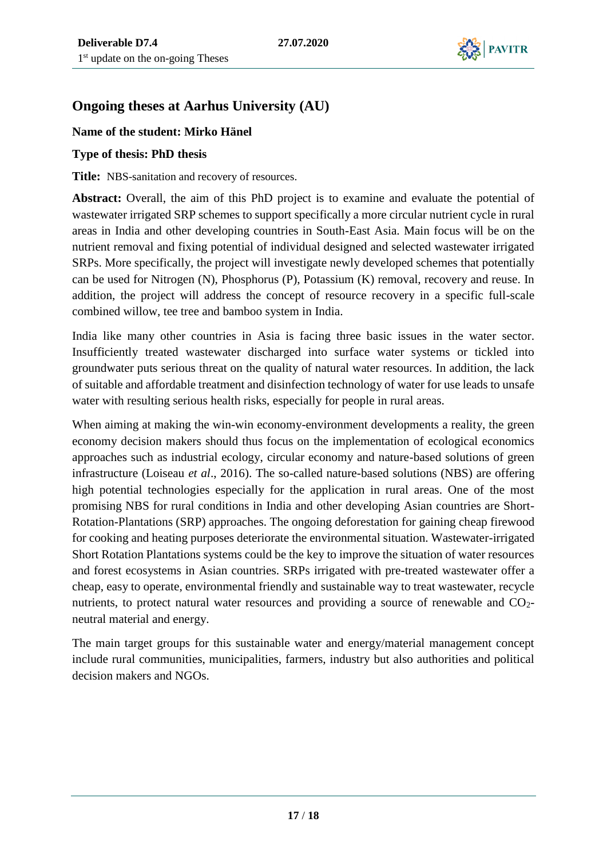

## **Ongoing theses at Aarhus University (AU)**

#### **Name of the student: Mirko Hänel**

#### **Type of thesis: PhD thesis**

**Title:** NBS-sanitation and recovery of resources.

**Abstract:** Overall, the aim of this PhD project is to examine and evaluate the potential of wastewater irrigated SRP schemes to support specifically a more circular nutrient cycle in rural areas in India and other developing countries in South-East Asia. Main focus will be on the nutrient removal and fixing potential of individual designed and selected wastewater irrigated SRPs. More specifically, the project will investigate newly developed schemes that potentially can be used for Nitrogen (N), Phosphorus (P), Potassium (K) removal, recovery and reuse. In addition, the project will address the concept of resource recovery in a specific full-scale combined willow, tee tree and bamboo system in India.

India like many other countries in Asia is facing three basic issues in the water sector. Insufficiently treated wastewater discharged into surface water systems or tickled into groundwater puts serious threat on the quality of natural water resources. In addition, the lack of suitable and affordable treatment and disinfection technology of water for use leads to unsafe water with resulting serious health risks, especially for people in rural areas.

When aiming at making the win-win economy-environment developments a reality, the green economy decision makers should thus focus on the implementation of ecological economics approaches such as industrial ecology, circular economy and nature-based solutions of green infrastructure (Loiseau *et al*., 2016). The so-called nature-based solutions (NBS) are offering high potential technologies especially for the application in rural areas. One of the most promising NBS for rural conditions in India and other developing Asian countries are Short-Rotation-Plantations (SRP) approaches. The ongoing deforestation for gaining cheap firewood for cooking and heating purposes deteriorate the environmental situation. Wastewater-irrigated Short Rotation Plantations systems could be the key to improve the situation of water resources and forest ecosystems in Asian countries. SRPs irrigated with pre-treated wastewater offer a cheap, easy to operate, environmental friendly and sustainable way to treat wastewater, recycle nutrients, to protect natural water resources and providing a source of renewable and CO<sub>2</sub>neutral material and energy.

The main target groups for this sustainable water and energy/material management concept include rural communities, municipalities, farmers, industry but also authorities and political decision makers and NGOs.